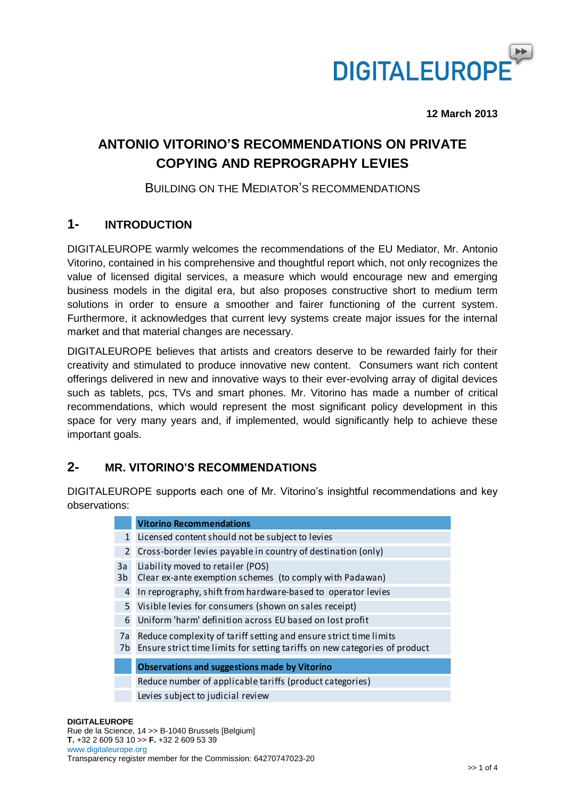

**12 March 2013**

# **ANTONIO VITORINO'S RECOMMENDATIONS ON PRIVATE COPYING AND REPROGRAPHY LEVIES**

### BUILDING ON THE MEDIATOR'S RECOMMENDATIONS

### **1- INTRODUCTION**

DIGITALEUROPE warmly welcomes the recommendations of the EU Mediator, Mr. Antonio Vitorino, contained in his comprehensive and thoughtful report which, not only recognizes the value of licensed digital services, a measure which would encourage new and emerging business models in the digital era, but also proposes constructive short to medium term solutions in order to ensure a smoother and fairer functioning of the current system. Furthermore, it acknowledges that current levy systems create major issues for the internal market and that material changes are necessary.

DIGITALEUROPE believes that artists and creators deserve to be rewarded fairly for their creativity and stimulated to produce innovative new content. Consumers want rich content offerings delivered in new and innovative ways to their ever-evolving array of digital devices such as tablets, pcs, TVs and smart phones. Mr. Vitorino has made a number of critical recommendations, which would represent the most significant policy development in this space for very many years and, if implemented, would significantly help to achieve these important goals.

### **2- MR. VITORINO'S RECOMMENDATIONS**

DIGITALEUROPE supports each one of Mr. Vitorino's insightful recommendations and key observations:

|                | <b>Vitorino Recommendations</b>                                                                                                                 |
|----------------|-------------------------------------------------------------------------------------------------------------------------------------------------|
| $\mathbf{1}$   | Licensed content should not be subject to levies                                                                                                |
| $\overline{2}$ | Cross-border levies payable in country of destination (only)                                                                                    |
| 3a<br>3b       | Liability moved to retailer (POS)<br>Clear ex-ante exemption schemes (to comply with Padawan)                                                   |
| 4              | In reprography, shift from hardware-based to operator levies                                                                                    |
| 5              | Visible levies for consumers (shown on sales receipt)                                                                                           |
| 6              | Uniform 'harm' definition across EU based on lost profit                                                                                        |
| 7a<br>7b       | Reduce complexity of tariff setting and ensure strict time limits<br>Ensure strict time limits for setting tariffs on new categories of product |
|                | <b>Observations and suggestions made by Vitorino</b>                                                                                            |
|                | Reduce number of applicable tariffs (product categories)                                                                                        |
|                | Levies subject to judicial review                                                                                                               |

#### **DIGITALEUROPE**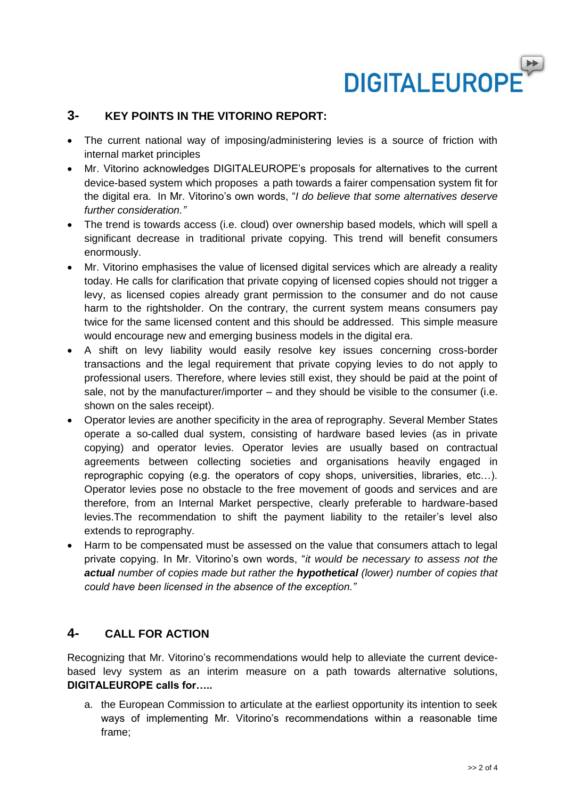

### **3- KEY POINTS IN THE VITORINO REPORT:**

- The current national way of imposing/administering levies is a source of friction with internal market principles
- Mr. Vitorino acknowledges DIGITALEUROPE's proposals for alternatives to the current device-based system which proposes a path towards a fairer compensation system fit for the digital era. In Mr. Vitorino's own words, "*I do believe that some alternatives deserve further consideration."*
- The trend is towards access (i.e. cloud) over ownership based models, which will spell a significant decrease in traditional private copying. This trend will benefit consumers enormously.
- Mr. Vitorino emphasises the value of licensed digital services which are already a reality today. He calls for clarification that private copying of licensed copies should not trigger a levy, as licensed copies already grant permission to the consumer and do not cause harm to the rightsholder. On the contrary, the current system means consumers pay twice for the same licensed content and this should be addressed. This simple measure would encourage new and emerging business models in the digital era.
- A shift on levy liability would easily resolve key issues concerning cross-border transactions and the legal requirement that private copying levies to do not apply to professional users. Therefore, where levies still exist, they should be paid at the point of sale, not by the manufacturer/importer – and they should be visible to the consumer (i.e. shown on the sales receipt).
- Operator levies are another specificity in the area of reprography. Several Member States operate a so-called dual system, consisting of hardware based levies (as in private copying) and operator levies. Operator levies are usually based on contractual agreements between collecting societies and organisations heavily engaged in reprographic copying (e.g. the operators of copy shops, universities, libraries, etc…). Operator levies pose no obstacle to the free movement of goods and services and are therefore, from an Internal Market perspective, clearly preferable to hardware-based levies.The recommendation to shift the payment liability to the retailer's level also extends to reprography.
- Harm to be compensated must be assessed on the value that consumers attach to legal private copying. In Mr. Vitorino's own words, "*it would be necessary to assess not the actual number of copies made but rather the hypothetical (lower) number of copies that could have been licensed in the absence of the exception."*

### **4- CALL FOR ACTION**

Recognizing that Mr. Vitorino's recommendations would help to alleviate the current devicebased levy system as an interim measure on a path towards alternative solutions, **DIGITALEUROPE calls for…..**

a. the European Commission to articulate at the earliest opportunity its intention to seek ways of implementing Mr. Vitorino's recommendations within a reasonable time frame;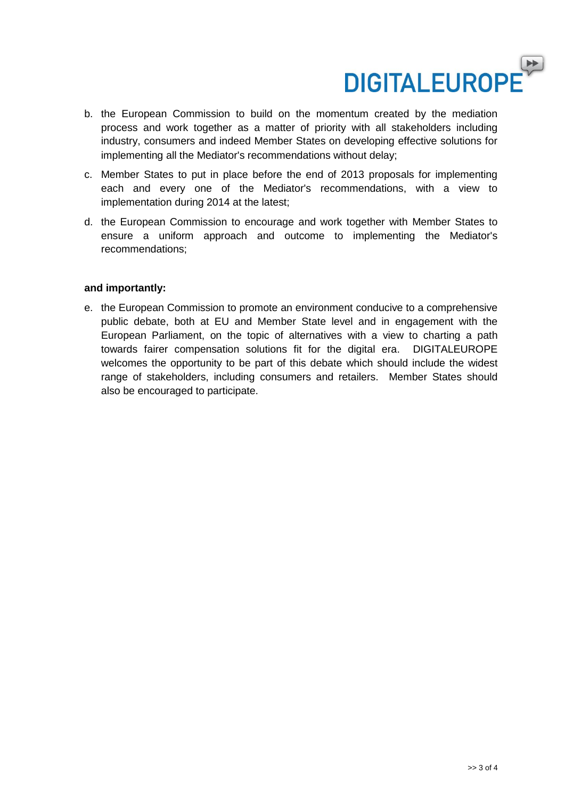

- b. the European Commission to build on the momentum created by the mediation process and work together as a matter of priority with all stakeholders including industry, consumers and indeed Member States on developing effective solutions for implementing all the Mediator's recommendations without delay;
- c. Member States to put in place before the end of 2013 proposals for implementing each and every one of the Mediator's recommendations, with a view to implementation during 2014 at the latest;
- d. the European Commission to encourage and work together with Member States to ensure a uniform approach and outcome to implementing the Mediator's recommendations;

#### **and importantly:**

e. the European Commission to promote an environment conducive to a comprehensive public debate, both at EU and Member State level and in engagement with the European Parliament, on the topic of alternatives with a view to charting a path towards fairer compensation solutions fit for the digital era. DIGITALEUROPE welcomes the opportunity to be part of this debate which should include the widest range of stakeholders, including consumers and retailers. Member States should also be encouraged to participate.